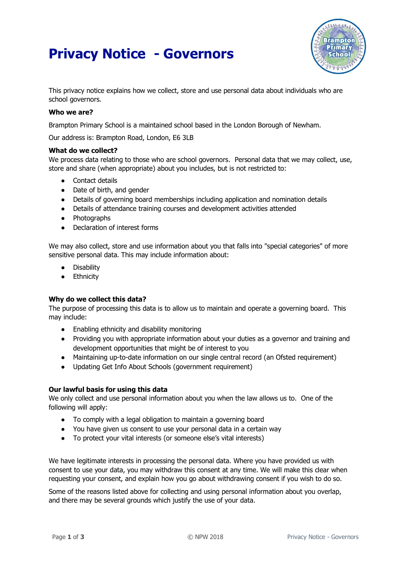# **Privacy Notice - Governors**



This privacy notice explains how we collect, store and use personal data about individuals who are school governors.

## **Who we are?**

Brampton Primary School is a maintained school based in the London Borough of Newham.

Our address is: Brampton Road, London, E6 3LB

#### **What do we collect?**

We process data relating to those who are school governors. Personal data that we may collect, use, store and share (when appropriate) about you includes, but is not restricted to:

- Contact details
- Date of birth, and gender
- Details of governing board memberships including application and nomination details
- Details of attendance training courses and development activities attended
- Photographs
- Declaration of interest forms

We may also collect, store and use information about you that falls into "special categories" of more sensitive personal data. This may include information about:

- **Disability**
- Ethnicity

## **Why do we collect this data?**

The purpose of processing this data is to allow us to maintain and operate a governing board. This may include:

- Enabling ethnicity and disability monitoring
- Providing you with appropriate information about your duties as a governor and training and development opportunities that might be of interest to you
- Maintaining up-to-date information on our single central record (an Ofsted requirement)
- Updating Get Info About Schools (government requirement)

## **Our lawful basis for using this data**

We only collect and use personal information about you when the law allows us to. One of the following will apply:

- To comply with a legal obligation to maintain a governing board
- You have given us consent to use your personal data in a certain way
- To protect your vital interests (or someone else's vital interests)

We have legitimate interests in processing the personal data. Where you have provided us with consent to use your data, you may withdraw this consent at any time. We will make this clear when requesting your consent, and explain how you go about withdrawing consent if you wish to do so.

Some of the reasons listed above for collecting and using personal information about you overlap, and there may be several grounds which justify the use of your data.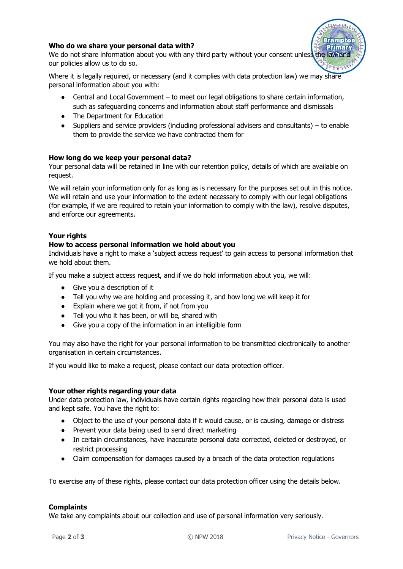## **Who do we share your personal data with?**

**Primary** We do not share information about you with any third party without your consent unless the law and our policies allow us to do so.

Where it is legally required, or necessary (and it complies with data protection law) we may share personal information about you with:

- Central and Local Government to meet our legal obligations to share certain information, such as safeguarding concerns and information about staff performance and dismissals
- The Department for Education
- $\bullet$  Suppliers and service providers (including professional advisers and consultants) to enable them to provide the service we have contracted them for

# **How long do we keep your personal data?**

Your personal data will be retained in line with our retention policy, details of which are available on request.

We will retain your information only for as long as is necessary for the purposes set out in this notice. We will retain and use your information to the extent necessary to comply with our legal obligations (for example, if we are required to retain your information to comply with the law), resolve disputes, and enforce our agreements.

# **Your rights**

## **How to access personal information we hold about you**

Individuals have a right to make a 'subject access request' to gain access to personal information that we hold about them.

If you make a subject access request, and if we do hold information about you, we will:

- Give you a description of it
- Tell you why we are holding and processing it, and how long we will keep it for
- Explain where we got it from, if not from you
- Tell you who it has been, or will be, shared with
- Give you a copy of the information in an intelligible form

You may also have the right for your personal information to be transmitted electronically to another organisation in certain circumstances.

If you would like to make a request, please contact our data protection officer.

## **Your other rights regarding your data**

Under data protection law, individuals have certain rights regarding how their personal data is used and kept safe. You have the right to:

- Object to the use of your personal data if it would cause, or is causing, damage or distress
- Prevent your data being used to send direct marketing
- In certain circumstances, have inaccurate personal data corrected, deleted or destroyed, or restrict processing
- Claim compensation for damages caused by a breach of the data protection regulations

To exercise any of these rights, please contact our data protection officer using the details below.

## **Complaints**

We take any complaints about our collection and use of personal information very seriously.

**Brampton**